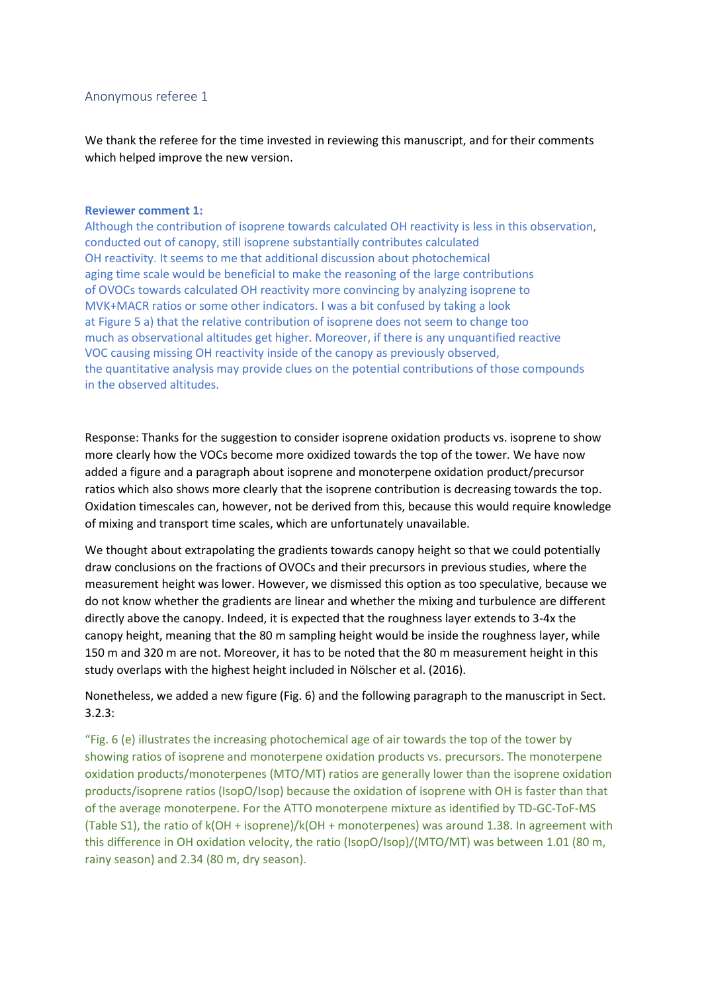# Anonymous referee 1

We thank the referee for the time invested in reviewing this manuscript, and for their comments which helped improve the new version.

#### **Reviewer comment 1:**

Although the contribution of isoprene towards calculated OH reactivity is less in this observation, conducted out of canopy, still isoprene substantially contributes calculated OH reactivity. It seems to me that additional discussion about photochemical aging time scale would be beneficial to make the reasoning of the large contributions of OVOCs towards calculated OH reactivity more convincing by analyzing isoprene to MVK+MACR ratios or some other indicators. I was a bit confused by taking a look at Figure 5 a) that the relative contribution of isoprene does not seem to change too much as observational altitudes get higher. Moreover, if there is any unquantified reactive VOC causing missing OH reactivity inside of the canopy as previously observed, the quantitative analysis may provide clues on the potential contributions of those compounds in the observed altitudes.

Response: Thanks for the suggestion to consider isoprene oxidation products vs. isoprene to show more clearly how the VOCs become more oxidized towards the top of the tower. We have now added a figure and a paragraph about isoprene and monoterpene oxidation product/precursor ratios which also shows more clearly that the isoprene contribution is decreasing towards the top. Oxidation timescales can, however, not be derived from this, because this would require knowledge of mixing and transport time scales, which are unfortunately unavailable.

We thought about extrapolating the gradients towards canopy height so that we could potentially draw conclusions on the fractions of OVOCs and their precursors in previous studies, where the measurement height was lower. However, we dismissed this option as too speculative, because we do not know whether the gradients are linear and whether the mixing and turbulence are different directly above the canopy. Indeed, it is expected that the roughness layer extends to 3-4x the canopy height, meaning that the 80 m sampling height would be inside the roughness layer, while 150 m and 320 m are not. Moreover, it has to be noted that the 80 m measurement height in this study overlaps with the highest height included in Nölscher et al. (2016).

Nonetheless, we added a new figure (Fig. 6) and the following paragraph to the manuscript in Sect. 3.2.3:

"Fig. 6 (e) illustrates the increasing photochemical age of air towards the top of the tower by showing ratios of isoprene and monoterpene oxidation products vs. precursors. The monoterpene oxidation products/monoterpenes (MTO/MT) ratios are generally lower than the isoprene oxidation products/isoprene ratios (IsopO/Isop) because the oxidation of isoprene with OH is faster than that of the average monoterpene. For the ATTO monoterpene mixture as identified by TD-GC-ToF-MS (Table S1), the ratio of k(OH + isoprene)/k(OH + monoterpenes) was around 1.38. In agreement with this difference in OH oxidation velocity, the ratio (IsopO/Isop)/(MTO/MT) was between 1.01 (80 m, rainy season) and 2.34 (80 m, dry season).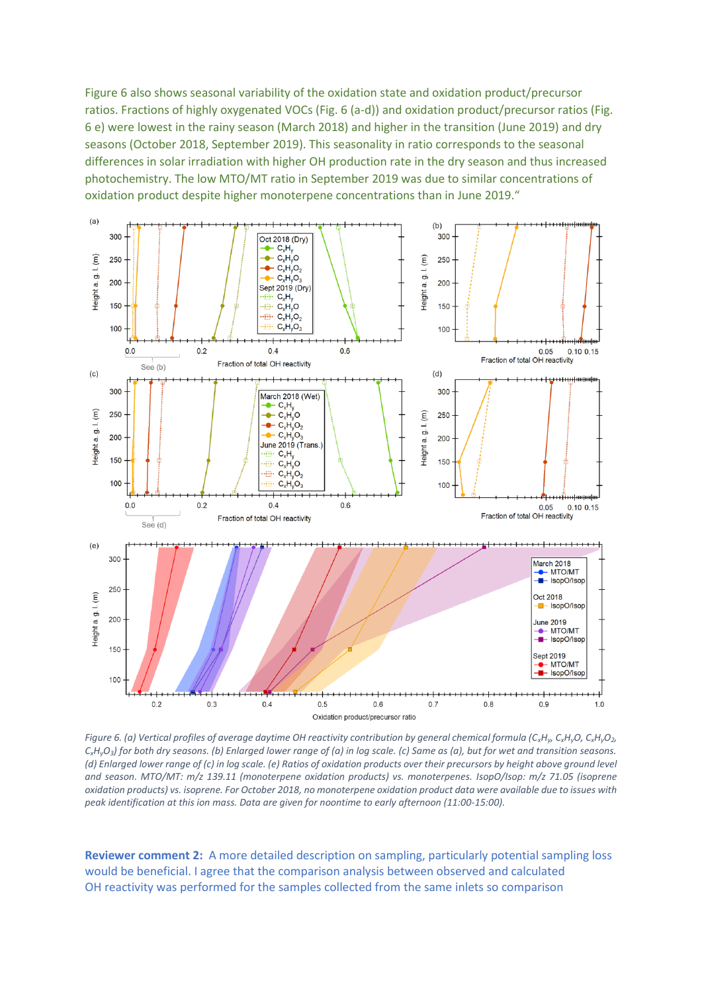Figure 6 also shows seasonal variability of the oxidation state and oxidation product/precursor ratios. Fractions of highly oxygenated VOCs (Fig. 6 (a-d)) and oxidation product/precursor ratios (Fig. 6 e) were lowest in the rainy season (March 2018) and higher in the transition (June 2019) and dry seasons (October 2018, September 2019). This seasonality in ratio corresponds to the seasonal differences in solar irradiation with higher OH production rate in the dry season and thus increased photochemistry. The low MTO/MT ratio in September 2019 was due to similar concentrations of oxidation product despite higher monoterpene concentrations than in June 2019."



Figure 6. (a) Vertical profiles of average daytime OH reactivity contribution by general chemical formula (C<sub>x</sub>H<sub>y</sub>, C<sub>x</sub>H<sub>y</sub>O, C<sub>x</sub>H<sub>y</sub>O<sub>2</sub>,  $C_xH_yO_3$  for both dry seasons. (b) Enlarged lower range of (a) in log scale. (c) Same as (a), but for wet and transition seasons. *(d) Enlarged lower range of (c) in log scale. (e) Ratios of oxidation products over their precursors by height above ground level and season. MTO/MT: m/z 139.11 (monoterpene oxidation products) vs. monoterpenes. IsopO/Isop: m/z 71.05 (isoprene oxidation products) vs. isoprene. For October 2018, no monoterpene oxidation product data were available due to issues with peak identification at this ion mass. Data are given for noontime to early afternoon (11:00-15:00).*

**Reviewer comment 2:** A more detailed description on sampling, particularly potential sampling loss would be beneficial. I agree that the comparison analysis between observed and calculated OH reactivity was performed for the samples collected from the same inlets so comparison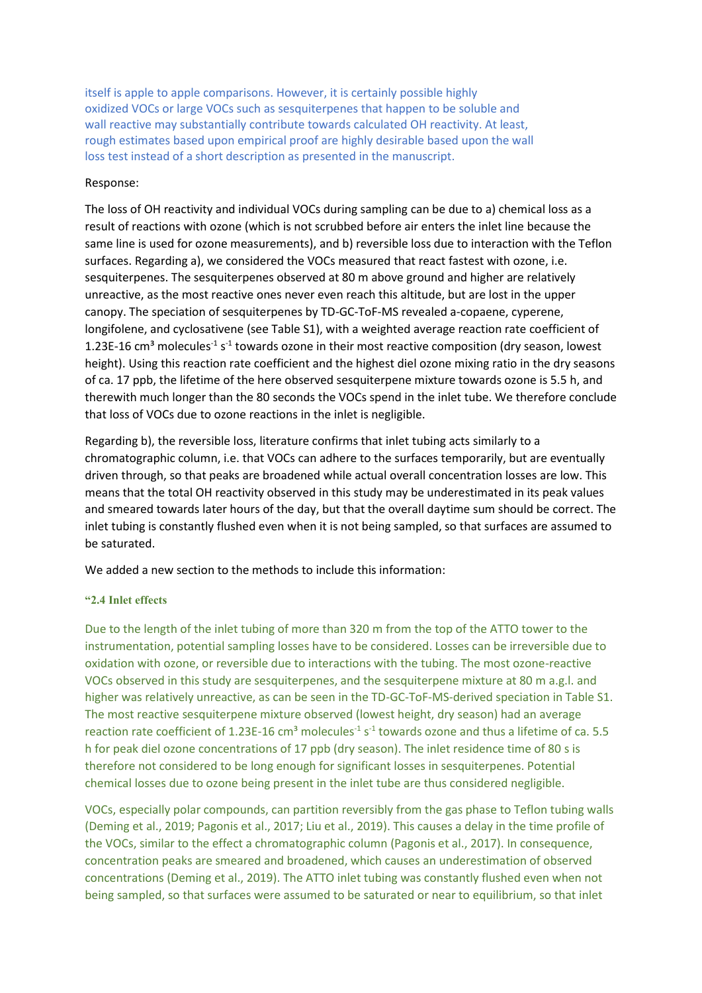itself is apple to apple comparisons. However, it is certainly possible highly oxidized VOCs or large VOCs such as sesquiterpenes that happen to be soluble and wall reactive may substantially contribute towards calculated OH reactivity. At least, rough estimates based upon empirical proof are highly desirable based upon the wall loss test instead of a short description as presented in the manuscript.

### Response:

The loss of OH reactivity and individual VOCs during sampling can be due to a) chemical loss as a result of reactions with ozone (which is not scrubbed before air enters the inlet line because the same line is used for ozone measurements), and b) reversible loss due to interaction with the Teflon surfaces. Regarding a), we considered the VOCs measured that react fastest with ozone, i.e. sesquiterpenes. The sesquiterpenes observed at 80 m above ground and higher are relatively unreactive, as the most reactive ones never even reach this altitude, but are lost in the upper canopy. The speciation of sesquiterpenes by TD-GC-ToF-MS revealed a-copaene, cyperene, longifolene, and cyclosativene (see Table S1), with a weighted average reaction rate coefficient of 1.23E-16 cm<sup>3</sup> molecules<sup>-1</sup> s<sup>-1</sup> towards ozone in their most reactive composition (dry season, lowest height). Using this reaction rate coefficient and the highest diel ozone mixing ratio in the dry seasons of ca. 17 ppb, the lifetime of the here observed sesquiterpene mixture towards ozone is 5.5 h, and therewith much longer than the 80 seconds the VOCs spend in the inlet tube. We therefore conclude that loss of VOCs due to ozone reactions in the inlet is negligible.

Regarding b), the reversible loss, literature confirms that inlet tubing acts similarly to a chromatographic column, i.e. that VOCs can adhere to the surfaces temporarily, but are eventually driven through, so that peaks are broadened while actual overall concentration losses are low. This means that the total OH reactivity observed in this study may be underestimated in its peak values and smeared towards later hours of the day, but that the overall daytime sum should be correct. The inlet tubing is constantly flushed even when it is not being sampled, so that surfaces are assumed to be saturated.

We added a new section to the methods to include this information:

#### **"2.4 Inlet effects**

Due to the length of the inlet tubing of more than 320 m from the top of the ATTO tower to the instrumentation, potential sampling losses have to be considered. Losses can be irreversible due to oxidation with ozone, or reversible due to interactions with the tubing. The most ozone-reactive VOCs observed in this study are sesquiterpenes, and the sesquiterpene mixture at 80 m a.g.l. and higher was relatively unreactive, as can be seen in the TD-GC-ToF-MS-derived speciation in Table S1. The most reactive sesquiterpene mixture observed (lowest height, dry season) had an average reaction rate coefficient of 1.23E-16 cm<sup>3</sup> molecules<sup>-1</sup> s<sup>-1</sup> towards ozone and thus a lifetime of ca. 5.5 h for peak diel ozone concentrations of 17 ppb (dry season). The inlet residence time of 80 s is therefore not considered to be long enough for significant losses in sesquiterpenes. Potential chemical losses due to ozone being present in the inlet tube are thus considered negligible.

VOCs, especially polar compounds, can partition reversibly from the gas phase to Teflon tubing walls (Deming et al., 2019; Pagonis et al., 2017; Liu et al., 2019). This causes a delay in the time profile of the VOCs, similar to the effect a chromatographic column (Pagonis et al., 2017). In consequence, concentration peaks are smeared and broadened, which causes an underestimation of observed concentrations (Deming et al., 2019). The ATTO inlet tubing was constantly flushed even when not being sampled, so that surfaces were assumed to be saturated or near to equilibrium, so that inlet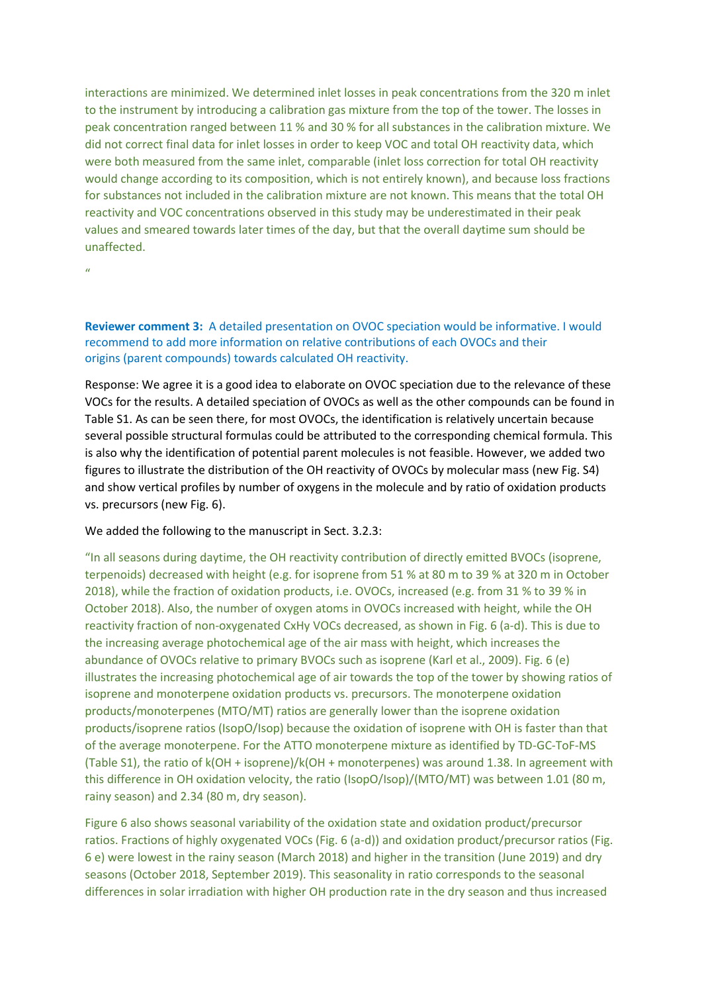interactions are minimized. We determined inlet losses in peak concentrations from the 320 m inlet to the instrument by introducing a calibration gas mixture from the top of the tower. The losses in peak concentration ranged between 11 % and 30 % for all substances in the calibration mixture. We did not correct final data for inlet losses in order to keep VOC and total OH reactivity data, which were both measured from the same inlet, comparable (inlet loss correction for total OH reactivity would change according to its composition, which is not entirely known), and because loss fractions for substances not included in the calibration mixture are not known. This means that the total OH reactivity and VOC concentrations observed in this study may be underestimated in their peak values and smeared towards later times of the day, but that the overall daytime sum should be unaffected.

"

# **Reviewer comment 3:** A detailed presentation on OVOC speciation would be informative. I would recommend to add more information on relative contributions of each OVOCs and their origins (parent compounds) towards calculated OH reactivity.

Response: We agree it is a good idea to elaborate on OVOC speciation due to the relevance of these VOCs for the results. A detailed speciation of OVOCs as well as the other compounds can be found in Table S1. As can be seen there, for most OVOCs, the identification is relatively uncertain because several possible structural formulas could be attributed to the corresponding chemical formula. This is also why the identification of potential parent molecules is not feasible. However, we added two figures to illustrate the distribution of the OH reactivity of OVOCs by molecular mass (new Fig. S4) and show vertical profiles by number of oxygens in the molecule and by ratio of oxidation products vs. precursors (new Fig. 6).

## We added the following to the manuscript in Sect. 3.2.3:

"In all seasons during daytime, the OH reactivity contribution of directly emitted BVOCs (isoprene, terpenoids) decreased with height (e.g. for isoprene from 51 % at 80 m to 39 % at 320 m in October 2018), while the fraction of oxidation products, i.e. OVOCs, increased (e.g. from 31 % to 39 % in October 2018). Also, the number of oxygen atoms in OVOCs increased with height, while the OH reactivity fraction of non-oxygenated CxHy VOCs decreased, as shown in Fig. 6 (a-d). This is due to the increasing average photochemical age of the air mass with height, which increases the abundance of OVOCs relative to primary BVOCs such as isoprene (Karl et al., 2009). Fig. 6 (e) illustrates the increasing photochemical age of air towards the top of the tower by showing ratios of isoprene and monoterpene oxidation products vs. precursors. The monoterpene oxidation products/monoterpenes (MTO/MT) ratios are generally lower than the isoprene oxidation products/isoprene ratios (IsopO/Isop) because the oxidation of isoprene with OH is faster than that of the average monoterpene. For the ATTO monoterpene mixture as identified by TD-GC-ToF-MS (Table S1), the ratio of k(OH + isoprene)/k(OH + monoterpenes) was around 1.38. In agreement with this difference in OH oxidation velocity, the ratio (IsopO/Isop)/(MTO/MT) was between 1.01 (80 m, rainy season) and 2.34 (80 m, dry season).

Figure 6 also shows seasonal variability of the oxidation state and oxidation product/precursor ratios. Fractions of highly oxygenated VOCs (Fig. 6 (a-d)) and oxidation product/precursor ratios (Fig. 6 e) were lowest in the rainy season (March 2018) and higher in the transition (June 2019) and dry seasons (October 2018, September 2019). This seasonality in ratio corresponds to the seasonal differences in solar irradiation with higher OH production rate in the dry season and thus increased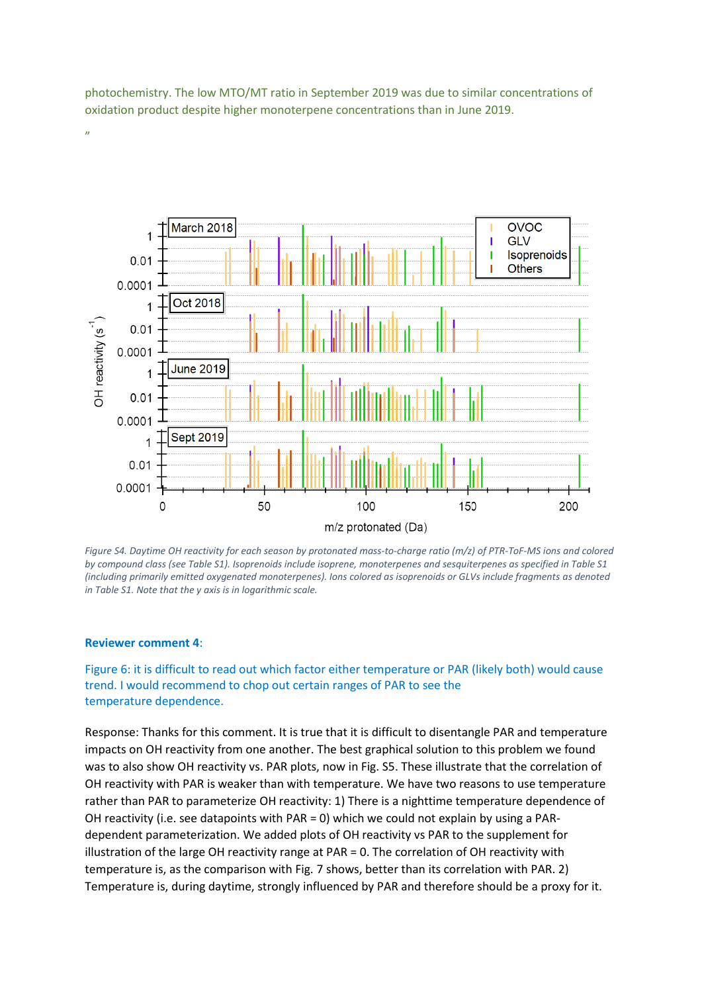photochemistry. The low MTO/MT ratio in September 2019 was due to similar concentrations of oxidation product despite higher monoterpene concentrations than in June 2019.



*Figure S4. Daytime OH reactivity for each season by protonated mass-to-charge ratio (m/z) of PTR-ToF-MS ions and colored by compound class (see Table S1). Isoprenoids include isoprene, monoterpenes and sesquiterpenes as specified in Table S1 (including primarily emitted oxygenated monoterpenes). Ions colored as isoprenoids or GLVs include fragments as denoted in Table S1. Note that the y axis is in logarithmic scale.*

#### **Reviewer comment 4**:

"

Figure 6: it is difficult to read out which factor either temperature or PAR (likely both) would cause trend. I would recommend to chop out certain ranges of PAR to see the temperature dependence.

Response: Thanks for this comment. It is true that it is difficult to disentangle PAR and temperature impacts on OH reactivity from one another. The best graphical solution to this problem we found was to also show OH reactivity vs. PAR plots, now in Fig. S5. These illustrate that the correlation of OH reactivity with PAR is weaker than with temperature. We have two reasons to use temperature rather than PAR to parameterize OH reactivity: 1) There is a nighttime temperature dependence of OH reactivity (i.e. see datapoints with PAR = 0) which we could not explain by using a PARdependent parameterization. We added plots of OH reactivity vs PAR to the supplement for illustration of the large OH reactivity range at PAR = 0. The correlation of OH reactivity with temperature is, as the comparison with Fig. 7 shows, better than its correlation with PAR. 2) Temperature is, during daytime, strongly influenced by PAR and therefore should be a proxy for it.